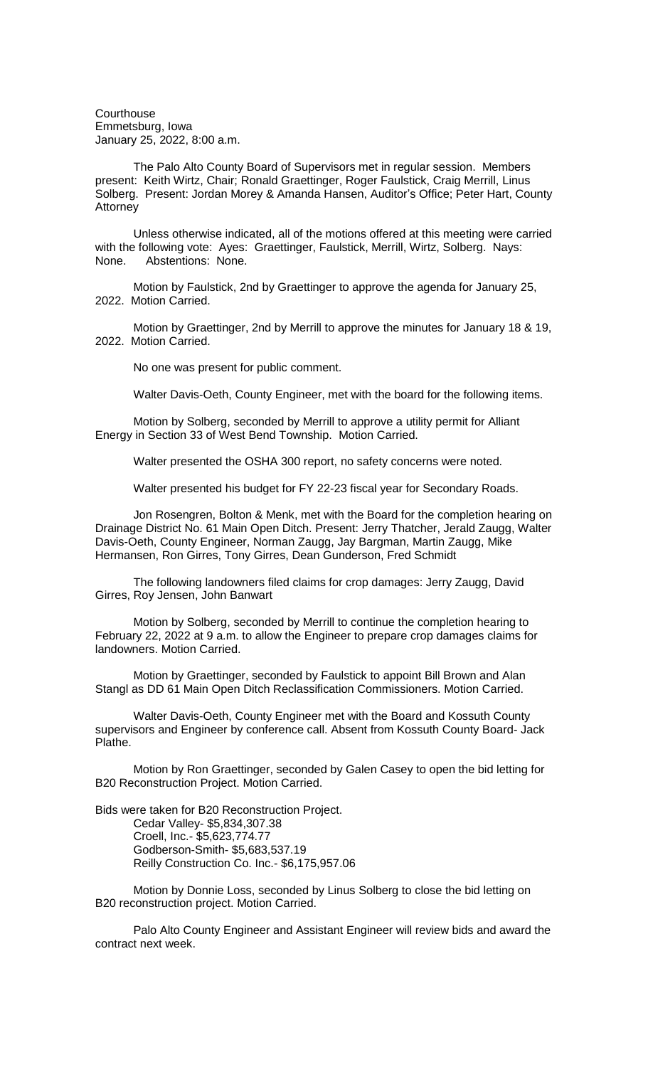**Courthouse** Emmetsburg, Iowa January 25, 2022, 8:00 a.m.

The Palo Alto County Board of Supervisors met in regular session. Members present: Keith Wirtz, Chair; Ronald Graettinger, Roger Faulstick, Craig Merrill, Linus Solberg. Present: Jordan Morey & Amanda Hansen, Auditor's Office; Peter Hart, County **Attorney** 

Unless otherwise indicated, all of the motions offered at this meeting were carried with the following vote: Ayes: Graettinger, Faulstick, Merrill, Wirtz, Solberg. Nays: None. Abstentions: None.

Motion by Faulstick, 2nd by Graettinger to approve the agenda for January 25, 2022. Motion Carried.

Motion by Graettinger, 2nd by Merrill to approve the minutes for January 18 & 19, 2022. Motion Carried.

No one was present for public comment.

Walter Davis-Oeth, County Engineer, met with the board for the following items.

Motion by Solberg, seconded by Merrill to approve a utility permit for Alliant Energy in Section 33 of West Bend Township. Motion Carried.

Walter presented the OSHA 300 report, no safety concerns were noted.

Walter presented his budget for FY 22-23 fiscal year for Secondary Roads.

Jon Rosengren, Bolton & Menk, met with the Board for the completion hearing on Drainage District No. 61 Main Open Ditch. Present: Jerry Thatcher, Jerald Zaugg, Walter Davis-Oeth, County Engineer, Norman Zaugg, Jay Bargman, Martin Zaugg, Mike Hermansen, Ron Girres, Tony Girres, Dean Gunderson, Fred Schmidt

The following landowners filed claims for crop damages: Jerry Zaugg, David Girres, Roy Jensen, John Banwart

Motion by Solberg, seconded by Merrill to continue the completion hearing to February 22, 2022 at 9 a.m. to allow the Engineer to prepare crop damages claims for landowners. Motion Carried.

Motion by Graettinger, seconded by Faulstick to appoint Bill Brown and Alan Stangl as DD 61 Main Open Ditch Reclassification Commissioners. Motion Carried.

Walter Davis-Oeth, County Engineer met with the Board and Kossuth County supervisors and Engineer by conference call. Absent from Kossuth County Board- Jack Plathe.

Motion by Ron Graettinger, seconded by Galen Casey to open the bid letting for B20 Reconstruction Project. Motion Carried.

Bids were taken for B20 Reconstruction Project. Cedar Valley- \$5,834,307.38 Croell, Inc.- \$5,623,774.77 Godberson-Smith- \$5,683,537.19 Reilly Construction Co. Inc.- \$6,175,957.06

Motion by Donnie Loss, seconded by Linus Solberg to close the bid letting on B20 reconstruction project. Motion Carried.

Palo Alto County Engineer and Assistant Engineer will review bids and award the contract next week.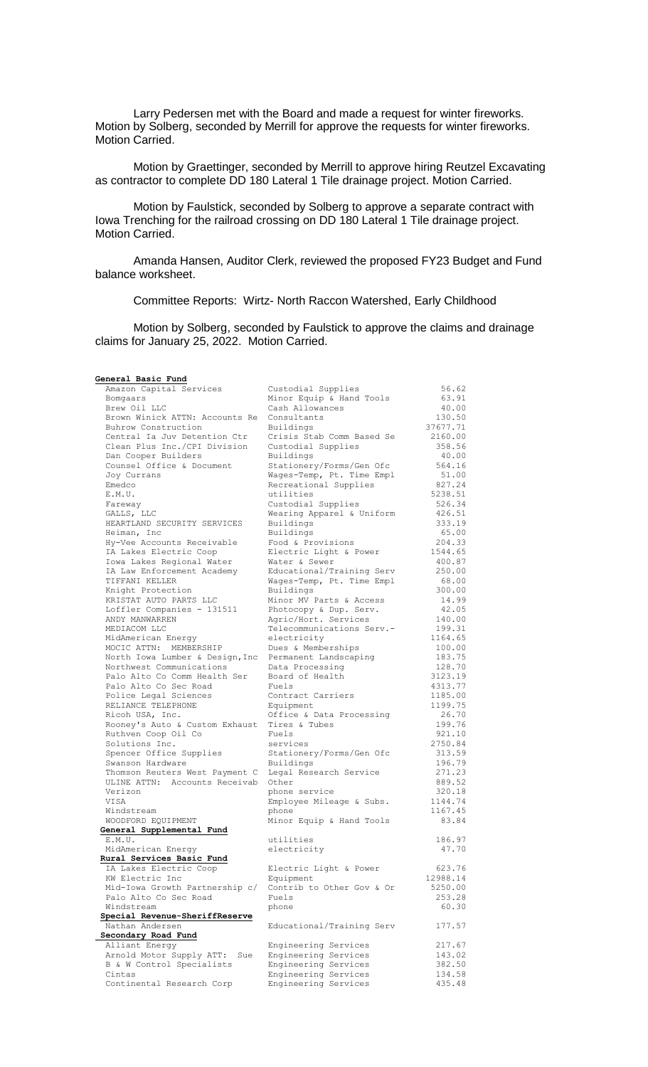Larry Pedersen met with the Board and made a request for winter fireworks. Motion by Solberg, seconded by Merrill for approve the requests for winter fireworks. Motion Carried.

Motion by Graettinger, seconded by Merrill to approve hiring Reutzel Excavating as contractor to complete DD 180 Lateral 1 Tile drainage project. Motion Carried.

Motion by Faulstick, seconded by Solberg to approve a separate contract with Iowa Trenching for the railroad crossing on DD 180 Lateral 1 Tile drainage project. Motion Carried.

Amanda Hansen, Auditor Clerk, reviewed the proposed FY23 Budget and Fund balance worksheet.

Committee Reports: Wirtz- North Raccon Watershed, Early Childhood

Motion by Solberg, seconded by Faulstick to approve the claims and drainage claims for January 25, 2022. Motion Carried.

## **General Basic Fund**

| Amazon Capital Services                                   | Custodial Supplies                       | 56.62            |
|-----------------------------------------------------------|------------------------------------------|------------------|
| Bomgaars                                                  | Minor Equip & Hand Tools                 | 63.91            |
| Brew Oil LLC                                              | Cash Allowances                          | 40.00            |
| Brown Winick ATTN: Accounts Re                            | Consultants                              | 130.50           |
| Buhrow Construction                                       | Buildings                                | 37677.71         |
| Central Ia Juv Detention Ctr                              | Crisis Stab Comm Based Se                | 2160.00          |
| Clean Plus Inc./CPI Division                              | Custodial Supplies                       | 358.56           |
| Dan Cooper Builders                                       | Buildings                                | 40.00            |
| Counsel Office & Document                                 | Stationery/Forms/Gen Ofc                 | 564.16           |
| Joy Currans                                               | Wages-Temp, Pt. Time Empl                | 51.00            |
| Emedco                                                    | Recreational Supplies                    | 827.24           |
| E.M.U.                                                    | utilities                                | 5238.51          |
| Fareway                                                   | Custodial Supplies                       | 526.34           |
| GALLS, LLC                                                | Wearing Apparel & Uniform                | 426.51           |
| HEARTLAND SECURITY SERVICES                               | Buildings                                | 333.19           |
| Heiman, Inc                                               | Buildings                                | 65.00            |
| Hy-Vee Accounts Receivable                                | Food & Provisions                        | 204.33           |
| IA Lakes Electric Coop                                    | Electric Light & Power                   | 1544.65          |
| Iowa Lakes Regional Water                                 | Water & Sewer                            | 400.87           |
| IA Law Enforcement Academy                                | Educational/Training Serv                | 250.00           |
| TIFFANI KELLER                                            | Wages-Temp, Pt. Time Empl                | 68.00            |
| Knight Protection                                         | Buildings                                | 300.00           |
| KRISTAT AUTO PARTS LLC                                    | Minor MV Parts & Access                  | 14.99            |
| Loffler Companies - 131511                                | Photocopy & Dup. Serv.                   | 42.05            |
| ANDY MANWARREN                                            | Agric/Hort. Services                     | 140.00           |
| MEDIACOM LLC                                              | Telecommunications Serv.-                | 199.31           |
| MidAmerican Energy                                        | electricity                              | 1164.65          |
| MOCIC ATTN: MEMBERSHIP<br>North Iowa Lumber & Design, Inc | Dues & Memberships                       | 100.00<br>183.75 |
| Northwest Communications                                  | Permanent Landscaping<br>Data Processing | 128.70           |
| Palo Alto Co Comm Health Ser                              | Board of Health                          | 3123.19          |
| Palo Alto Co Sec Road                                     | Fuels                                    | 4313.77          |
| Police Legal Sciences                                     | Contract Carriers                        | 1185.00          |
| RELIANCE TELEPHONE                                        | Equipment                                | 1199.75          |
| Ricoh USA, Inc.                                           | Office & Data Processing                 | 26.70            |
| Rooney's Auto & Custom Exhaust                            | Tires & Tubes                            | 199.76           |
| Ruthven Coop Oil Co                                       | Fuels                                    | 921.10           |
| Solutions Inc.                                            | services                                 | 2750.84          |
| Spencer Office Supplies                                   | Stationery/Forms/Gen Ofc                 | 313.59           |
| Swanson Hardware                                          | Buildings                                | 196.79           |
| Thomson Reuters West Payment C                            | Legal Research Service                   | 271.23           |
| ULINE ATTN: Accounts Receivab                             | Other                                    | 889.52           |
| Verizon                                                   | phone service                            | 320.18           |
| VISA                                                      | Employee Mileage & Subs.                 | 1144.74          |
| Windstream                                                | phone                                    | 1167.45          |
| WOODFORD EQUIPMENT                                        | Minor Equip & Hand Tools                 | 83.84            |
| General Supplemental Fund                                 |                                          |                  |
| E.M.U.                                                    | utilities                                | 186.97           |
| MidAmerican Energy                                        | electricity                              | 47.70            |
| Rural Services Basic Fund                                 |                                          |                  |
| IA Lakes Electric Coop                                    | Electric Light & Power                   | 623.76           |
| KW Electric Inc                                           | Equipment                                | 12988.14         |
| Mid-Iowa Growth Partnership c/                            | Contrib to Other Gov & Or                | 5250.00          |
| Palo Alto Co Sec Road                                     | Fuels                                    | 253.28           |
| Windstream                                                | phone                                    | 60.30            |
| Special Revenue-SheriffReserve                            |                                          |                  |
| Nathan Andersen                                           | Educational/Training Serv                | 177.57           |
| Secondary Road Fund                                       |                                          |                  |
| Alliant Energy                                            | Engineering Services                     | 217.67           |
| Arnold Motor Supply ATT:<br>Sue                           | Engineering Services                     | 143.02           |
| B & W Control Specialists                                 | Engineering Services                     | 382.50           |
| Cintas                                                    | Engineering Services                     | 134.58           |
| Continental Research Corp                                 | Engineering Services                     | 435.48           |